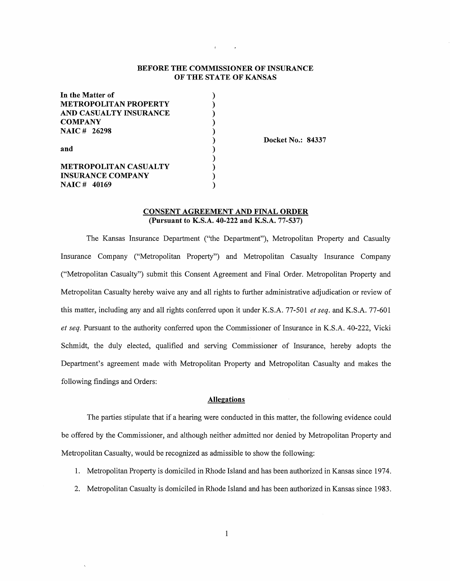#### **BEFORE THE COMMISSIONER OF INSURANCE OF THE STATE OF KANSAS**

| In the Matter of             |  |
|------------------------------|--|
| <b>METROPOLITAN PROPERTY</b> |  |
| AND CASUALTY INSURANCE       |  |
| <b>COMPANY</b>               |  |
| <b>NAIC# 26298</b>           |  |
|                              |  |
| and                          |  |
|                              |  |
| <b>METROPOLITAN CASUALTY</b> |  |
| <b>INSURANCE COMPANY</b>     |  |
| <b>NAIC# 40169</b>           |  |

**Docket No.: 84337** 

#### **CONSENT AGREEMENT AND FINAL ORDER (Pursuant to K.S.A. 40-222 and K.S.A. 77-537)**

The Kansas Insurance Department ("the Department"), Metropolitan Property and Casualty Insurance Company ("Metropolitan Property") and Metropolitan Casualty Insurance Company ("Metropolitan Casualty") submit this Consent Agreement and Final Order. Metropolitan Property and Metropolitan Casualty hereby waive any and all rights to further administrative adjudication or review of this matter, including any and all rights conferred upon it under K.S.A. 77-501 *et seq.* and K.S.A. 77-601 *et seq.* Pursuant to the authority conferred upon the Commissioner of Insurance in K.S.A. 40-222, Vicki Schmidt, the duly elected, qualified and serving Commissioner of Insurance, hereby adopts the Department's agreement made with Metropolitan Property and Metropolitan Casualty and makes the following findings and Orders:

### **Allegations**

The parties stipulate that if a hearing were conducted in this matter, the following evidence could be offered by the Commissioner, and although neither admitted nor denied by Metropolitan Property and Metropolitan Casualty, would be recognized as admissible to show the following:

- 1. Metropolitan Property is domiciled in Rhode Island and has been authorized in Kansas since 1974.
- 2. Metropolitan Casualty is domiciled in Rhode Island and has been authorized in Kansas since 1983.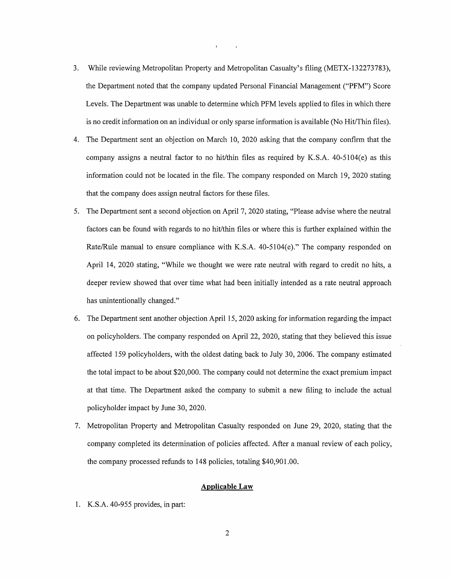- 3. While reviewing Metropolitan Property and Metropolitan Casualty's filing (METX-132273783), the Department noted that the company updated Personal Financial Management ("PFM") Score Levels. The Department was unable to determine which PFM levels applied to files in which there is no credit information on an individual or only sparse information is available (No Hit/Thin files).
- 4. The Department sent an objection on March 10, 2020 asking that the company confirm that the company assigns a neutral factor to no hit/thin files as required by K.S.A. 40-5104(e) as this information could not be located in the file. The company responded on March 19, 2020 stating that the company does assign neutral factors for these files.
- 5. The Department sent a second objection on April 7, 2020 stating, "Please advise where the neutral factors can be found with regards to no hit/thin files or where this is further explained within the Rate/Rule manual to ensure compliance with K.S.A. 40-5104(e)." The company responded on April 14, 2020 stating, "While we thought we were rate neutral with regard to credit no hits, a deeper review showed that over time what had been initially intended as a rate neutral approach has unintentionally changed."
- 6. The Department sent another objection April 15, 2020 asking for information regarding the impact on policyholders. The company responded on April 22, 2020, stating that they believed this issue affected 159 policyholders, with the oldest dating back to July 30, 2006. The company estimated the total impact to be about \$20,000. The company could not determine the exact premium impact at that time. The Department asked the company to submit a new filing to include the actual policyholder impact by June 30, 2020.
- 7. Metropolitan Property and Metropolitan Casualty responded on June 29, 2020, stating that the company completed its determination of policies affected. After a manual review of each policy, the company processed refunds to 148 policies, totaling \$40,901.00.

#### **Applicable Law**

1. K.S.A. 40-955 provides, in part: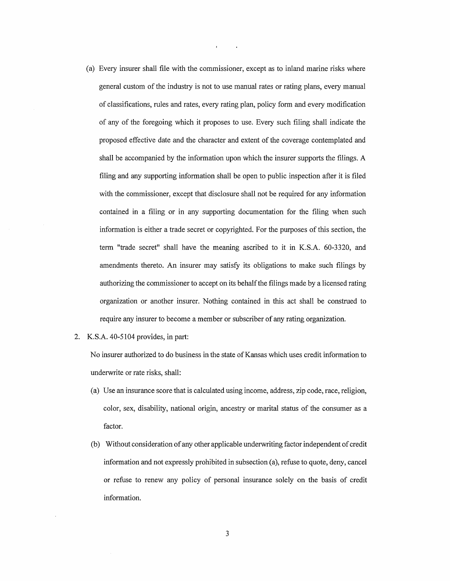- (a) Every insurer shall file with the commissioner, except as to inland marine risks where general custom of the industry is not to use manual rates or rating plans, every manual of classifications, rules and rates, every rating plan, policy form and every modification of any of the foregoing which it proposes to use. Every such filing shall indicate the proposed effective date and the character and extent of the coverage contemplated and shall be accompanied by the information upon which the insurer supports the filings. A filing and any supporting information shall be open to public inspection after it is filed with the commissioner, except that disclosure shall not be required for any information contained in a filing or in any supporting documentation for the filing when such information is either a trade secret or copyrighted. For the purposes of this section, the term "trade secret" shall have the meaning ascribed to it in K.S.A. 60-3320, and amendments thereto. An insurer may satisfy its obligations to make such filings by authorizing the commissioner to accept on its behalf the filings made by a licensed rating organization or another insurer. Nothing contained in this act shall be construed to require any insurer to become a member or subscriber of any rating organization.
- 2. K.S.A. 40-5104 provides, in part:

No insurer authorized to do business in the state of Kansas which uses credit information to underwrite or rate risks, shall:

- (a) Use an insurance score that is calculated using income, address, zip code, race, religion, color, sex, disability, national origin, ancestry or marital status of the consumer as a factor.
- (b) Without consideration of any other applicable underwriting factor independent of credit information and not expressly prohibited in subsection (a), refuse to quote, deny, cancel or refuse to renew any policy of personal insurance solely on the basis of credit information.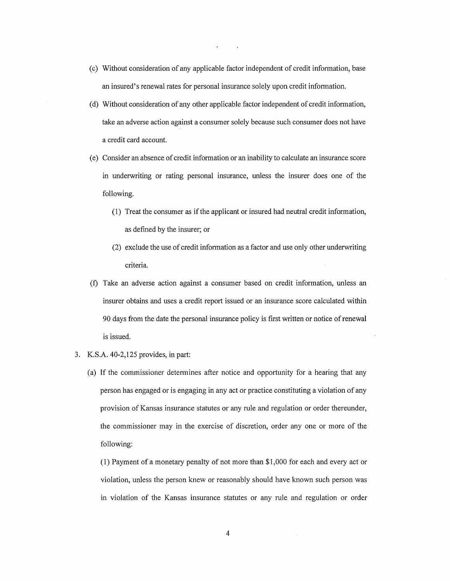- ( c) Without consideration of any applicable factor independent of credit information, base an insured's renewal rates for personal insurance solely upon credit information.
- ( d) Without consideration of any other applicable factor independent of credit information, take an adverse action against a consumer solely because such consumer does not have a credit card account.
- ( e) Consider an absence of credit information or an inability to calculate an insurance score in underwriting or rating personal insurance, unless the insurer does one of the following.
	- ( 1) Treat the consumer as if the applicant or insured had neutral credit information, as defined by the insurer; or
	- (2) exclude the use of credit information as a factor and use only other underwriting criteria.
- (f) Take an adverse action against a consumer based on credit information, unless an insurer obtains and uses a credit report issued or an insurance score calculated within 90 days from the date the personal insurance policy is first written or notice of renewal is issued.
- 3. K.S.A. 40-2,125 provides, in part:
	- (a) If the commissioner determines after notice and opportunity for a hearing that any person has engaged or is engaging in any act or practice constituting a violation of any provision of Kansas insurance statutes or any rule and regulation or order thereunder, the commissioner may in the exercise of discretion, order any one or more of the following:

(1) Payment of a monetary penalty of not more than \$1,000 for each and every act or violation, unless the person knew or reasonably should have known such person was in violation of the Kansas insurance statutes or any rule and regulation or order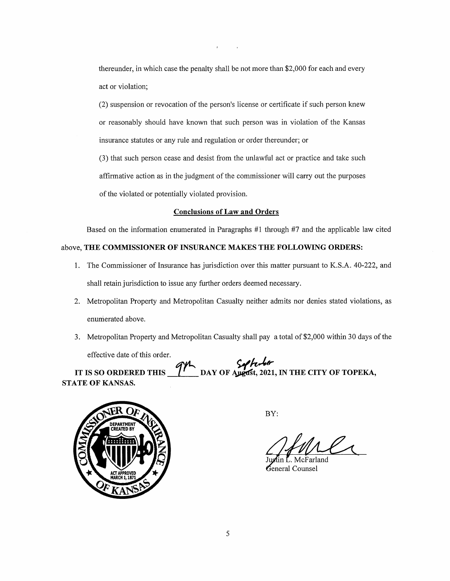thereunder, in which case the penalty shall be not more than \$2,000 for each and every act or violation;

(2) suspension or revocation of the person's license or certificate if such person knew or reasonably should have known that such person was in violation of the Kansas insurance statutes or any rule and regulation or order thereunder; or

(3) that such person cease and desist from the unlawful act or practice and take such affirmative action as in the judgment of the commissioner will carry out the purposes of the violated or potentially violated provision.

#### **Conclusions of Law and Orders**

Based on the information enumerated in Paragraphs #1 through #7 and the applicable law cited

#### above, **THE COMMISSIONER OF INSURANCE MAKES THE FOLLOWING ORDERS:**

- 1. The Commissioner of Insurance has jurisdiction over this matter pursuant to K.S.A. 40-222, and shall retain jurisdiction to issue any further orders deemed necessary.
- 2. Metropolitan Property and Metropolitan Casualty neither admits nor denies stated violations, as enumerated above.
- 3. Metropolitan Property and Metropolitan Casualty shall pay a total of \$2,000 within 30 days of the effective date of this order.

# ELECTIVE GALE OF THIS OFCER.<br>IT IS SO ORDERED THIS **THE DAY OF Ayess**t, 2021, IN THE CITY OF TOPEKA, **STATE OF KANSAS.**



BY:

General Counsel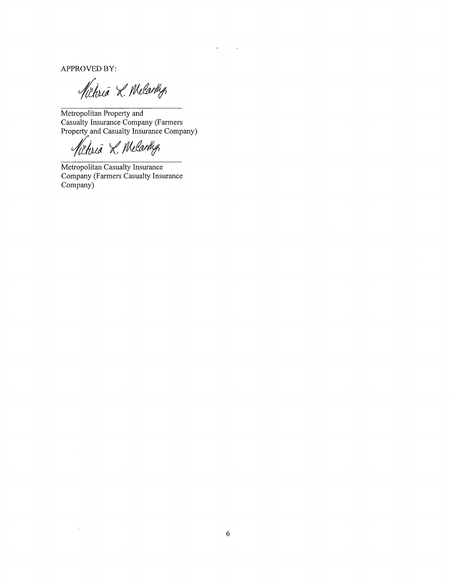APPROVED BY:

Kitoria L. Melarty

Metropolitan Property and Casualty Insurance Company (Farmers Property and Casualty Insurance Company)

*/dictorio L. Melarthy*<br>Metropolitan Casualty Insurance

Company (Farmers Casualty Insurance Company)

 $\bar{\mathcal{A}}$